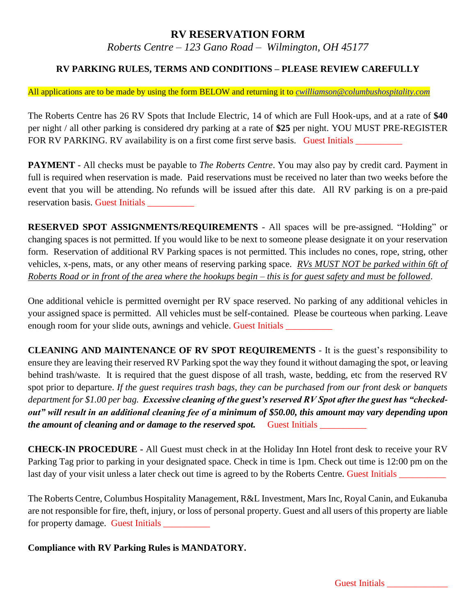# **RV RESERVATION FORM**

*Roberts Centre – 123 Gano Road – Wilmington, OH 45177*

### **RV PARKING RULES, TERMS AND CONDITIONS – PLEASE REVIEW CAREFULLY**

### All applications are to be made by using the form BELOW and returning it to *[cwilliamson@columbushospitality.com](mailto:cwilliamson@columbushospitality.com)*

The Roberts Centre has 26 RV Spots that Include Electric, 14 of which are Full Hook-ups, and at a rate of **\$40** per night / all other parking is considered dry parking at a rate of **\$25** per night. YOU MUST PRE-REGISTER FOR RV PARKING. RV availability is on a first come first serve basis. Guest Initials \_\_\_\_\_\_\_\_\_\_

**PAYMENT** - All checks must be payable to *The Roberts Centre*. You may also pay by credit card. Payment in full is required when reservation is made. Paid reservations must be received no later than two weeks before the event that you will be attending. No refunds will be issued after this date. All RV parking is on a pre-paid reservation basis. Guest Initials \_\_\_\_\_\_\_\_\_\_

**RESERVED SPOT ASSIGNMENTS/REQUIREMENTS** - All spaces will be pre-assigned. "Holding" or changing spaces is not permitted. If you would like to be next to someone please designate it on your reservation form. Reservation of additional RV Parking spaces is not permitted. This includes no cones, rope, string, other vehicles, x-pens, mats, or any other means of reserving parking space. *RVs MUST NOT be parked within 6ft of Roberts Road or in front of the area where the hookups begin – this is for guest safety and must be followed*.

One additional vehicle is permitted overnight per RV space reserved. No parking of any additional vehicles in your assigned space is permitted. All vehicles must be self-contained. Please be courteous when parking. Leave enough room for your slide outs, awnings and vehicle. Guest Initials

**CLEANING AND MAINTENANCE OF RV SPOT REQUIREMENTS** - It is the guest's responsibility to ensure they are leaving their reserved RV Parking spot the way they found it without damaging the spot, or leaving behind trash/waste. It is required that the guest dispose of all trash, waste, bedding, etc from the reserved RV spot prior to departure. *If the guest requires trash bags, they can be purchased from our front desk or banquets department for \$1.00 per bag. Excessive cleaning of the guest's reserved RV Spot after the guest has "checkedout" will result in an additional cleaning fee of a minimum of \$50.00, this amount may vary depending upon the amount of cleaning and or damage to the reserved spot.* Guest Initials

**CHECK-IN PROCEDURE -** All Guest must check in at the Holiday Inn Hotel front desk to receive your RV Parking Tag prior to parking in your designated space. Check in time is 1pm. Check out time is 12:00 pm on the last day of your visit unless a later check out time is agreed to by the Roberts Centre. Guest Initials

The Roberts Centre, Columbus Hospitality Management, R&L Investment, Mars Inc, Royal Canin, and Eukanuba are not responsible for fire, theft, injury, or loss of personal property. Guest and all users of this property are liable for property damage. Guest Initials \_\_\_\_\_\_\_\_\_\_

**Compliance with RV Parking Rules is MANDATORY.**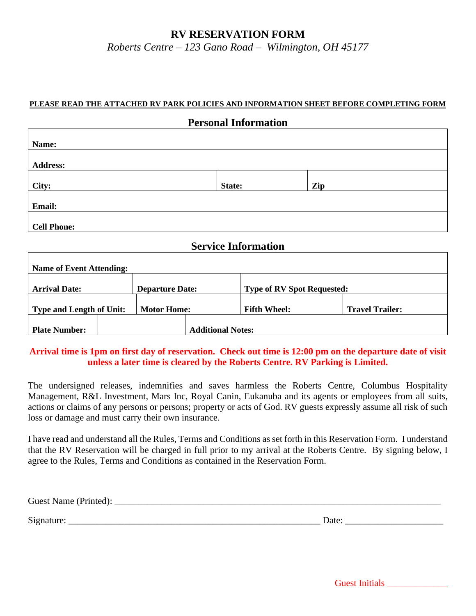# **RV RESERVATION FORM**

*Roberts Centre – 123 Gano Road – Wilmington, OH 45177*

### **PLEASE READ THE ATTACHED RV PARK POLICIES AND INFORMATION SHEET BEFORE COMPLETING FORM**

| <b>Personal Information</b>     |        |     |  |  |  |
|---------------------------------|--------|-----|--|--|--|
|                                 |        |     |  |  |  |
| Name:                           |        |     |  |  |  |
|                                 |        |     |  |  |  |
| <b>Address:</b>                 |        |     |  |  |  |
|                                 |        |     |  |  |  |
| City:                           | State: | Zip |  |  |  |
| Email:                          |        |     |  |  |  |
| <b>Cell Phone:</b>              |        |     |  |  |  |
| <b>Service Information</b>      |        |     |  |  |  |
| <b>Name of Event Attending:</b> |        |     |  |  |  |

| <b>Reference of Event Authoritie.</b>          |  |                    |                                   |                     |                        |
|------------------------------------------------|--|--------------------|-----------------------------------|---------------------|------------------------|
| <b>Arrival Date:</b><br><b>Departure Date:</b> |  |                    | <b>Type of RV Spot Requested:</b> |                     |                        |
| <b>Type and Length of Unit:</b>                |  | <b>Motor Home:</b> |                                   | <b>Fifth Wheel:</b> | <b>Travel Trailer:</b> |
| <b>Plate Number:</b>                           |  |                    | <b>Additional Notes:</b>          |                     |                        |

### **Arrival time is 1pm on first day of reservation. Check out time is 12:00 pm on the departure date of visit unless a later time is cleared by the Roberts Centre. RV Parking is Limited.**

The undersigned releases, indemnifies and saves harmless the Roberts Centre, Columbus Hospitality Management, R&L Investment, Mars Inc, Royal Canin, Eukanuba and its agents or employees from all suits, actions or claims of any persons or persons; property or acts of God. RV guests expressly assume all risk of such loss or damage and must carry their own insurance.

I have read and understand all the Rules, Terms and Conditions as set forth in this Reservation Form. I understand that the RV Reservation will be charged in full prior to my arrival at the Roberts Centre. By signing below, I agree to the Rules, Terms and Conditions as contained in the Reservation Form.

Guest Name (Printed):

Signature: \_\_\_\_\_\_\_\_\_\_\_\_\_\_\_\_\_\_\_\_\_\_\_\_\_\_\_\_\_\_\_\_\_\_\_\_\_\_\_\_\_\_\_\_\_\_\_\_\_\_\_\_\_\_ Date: \_\_\_\_\_\_\_\_\_\_\_\_\_\_\_\_\_\_\_\_\_

Guest Initials \_\_\_\_\_\_\_\_\_\_\_\_\_